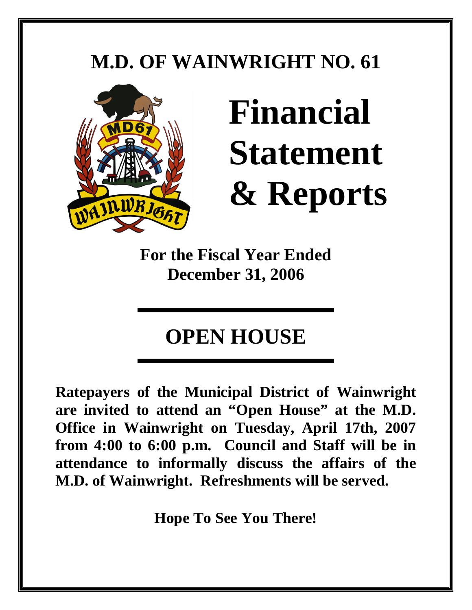# **M.D. OF WAINWRIGHT NO. 61**



# **Financial Statement & Reports**

**For the Fiscal Year Ended December 31, 2006** 

# **OPEN HOUSE**

**Ratepayers of the Municipal District of Wainwright are invited to attend an "Open House" at the M.D. Office in Wainwright on Tuesday, April 17th, 2007 from 4:00 to 6:00 p.m. Council and Staff will be in attendance to informally discuss the affairs of the M.D. of Wainwright. Refreshments will be served.** 

**Hope To See You There!**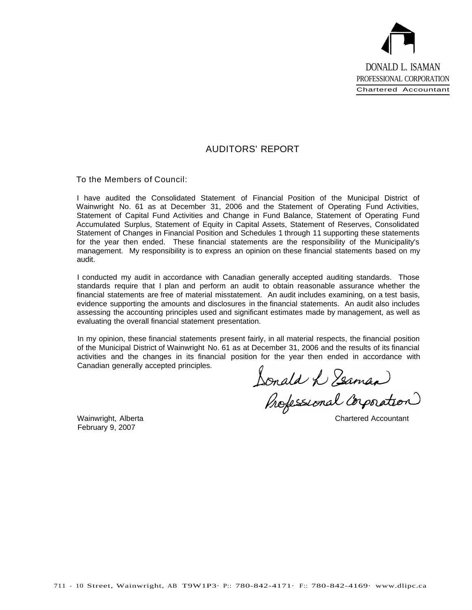

#### AUDITORS' REPORT

To the Members of Council:

I have audited the Consolidated Statement of Financial Position of the Municipal District of Wainwright No. 61 as at December 31, 2006 and the Statement of Operating Fund Activities, Statement of Capital Fund Activities and Change in Fund Balance, Statement of Operating Fund Accumulated Surplus, Statement of Equity in Capital Assets, Statement of Reserves, Consolidated Statement of Changes in Financial Position and Schedules 1 through 11 supporting these statements for the year then ended. These financial statements are the responsibility of the Municipality's management. My responsibility is to express an opinion on these financial statements based on my audit.

I conducted my audit in accordance with Canadian generally accepted auditing standards. Those standards require that I plan and perform an audit to obtain reasonable assurance whether the financial statements are free of material misstatement. An audit includes examining, on a test basis, evidence supporting the amounts and disclosures in the financial statements. An audit also includes assessing the accounting principles used and significant estimates made by management, as well as evaluating the overall financial statement presentation.

In my opinion, these financial statements present fairly, in all material respects, the financial position of the Municipal District of Wainwright No. 61 as at December 31, 2006 and the results of its financial activities and the changes in its financial position for the year then ended in accordance with Canadian generally accepted principles.

n for the year then ended in accorda<br>Jonald W Zeaman onald L Yeaman)<br>Professional Corporation

Wainwright, Alberta February 9, 2007

Chartered Accountant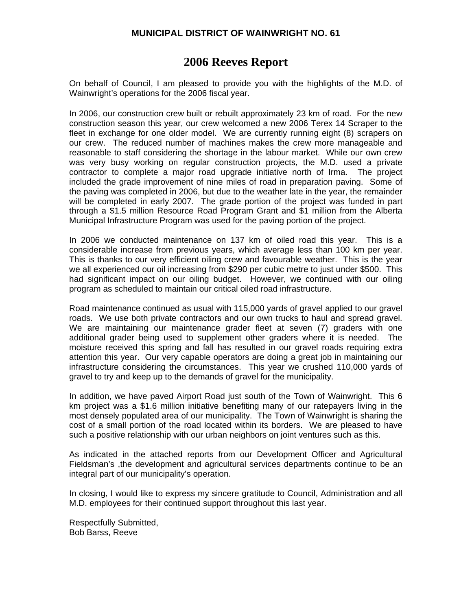#### **2006 Reeves Report**

On behalf of Council, I am pleased to provide you with the highlights of the M.D. of Wainwright's operations for the 2006 fiscal year.

In 2006, our construction crew built or rebuilt approximately 23 km of road. For the new construction season this year, our crew welcomed a new 2006 Terex 14 Scraper to the fleet in exchange for one older model. We are currently running eight (8) scrapers on our crew. The reduced number of machines makes the crew more manageable and reasonable to staff considering the shortage in the labour market. While our own crew was very busy working on regular construction projects, the M.D. used a private contractor to complete a major road upgrade initiative north of Irma. The project included the grade improvement of nine miles of road in preparation paving. Some of the paving was completed in 2006, but due to the weather late in the year, the remainder will be completed in early 2007. The grade portion of the project was funded in part through a \$1.5 million Resource Road Program Grant and \$1 million from the Alberta Municipal Infrastructure Program was used for the paving portion of the project.

In 2006 we conducted maintenance on 137 km of oiled road this year. This is a considerable increase from previous years, which average less than 100 km per year. This is thanks to our very efficient oiling crew and favourable weather. This is the year we all experienced our oil increasing from \$290 per cubic metre to just under \$500. This had significant impact on our oiling budget. However, we continued with our oiling program as scheduled to maintain our critical oiled road infrastructure.

Road maintenance continued as usual with 115,000 yards of gravel applied to our gravel roads. We use both private contractors and our own trucks to haul and spread gravel. We are maintaining our maintenance grader fleet at seven (7) graders with one additional grader being used to supplement other graders where it is needed. The moisture received this spring and fall has resulted in our gravel roads requiring extra attention this year. Our very capable operators are doing a great job in maintaining our infrastructure considering the circumstances. This year we crushed 110,000 yards of gravel to try and keep up to the demands of gravel for the municipality.

In addition, we have paved Airport Road just south of the Town of Wainwright. This 6 km project was a \$1.6 million initiative benefiting many of our ratepayers living in the most densely populated area of our municipality. The Town of Wainwright is sharing the cost of a small portion of the road located within its borders. We are pleased to have such a positive relationship with our urban neighbors on joint ventures such as this.

As indicated in the attached reports from our Development Officer and Agricultural Fieldsman's ,the development and agricultural services departments continue to be an integral part of our municipality's operation.

In closing, I would like to express my sincere gratitude to Council, Administration and all M.D. employees for their continued support throughout this last year.

Respectfully Submitted, Bob Barss, Reeve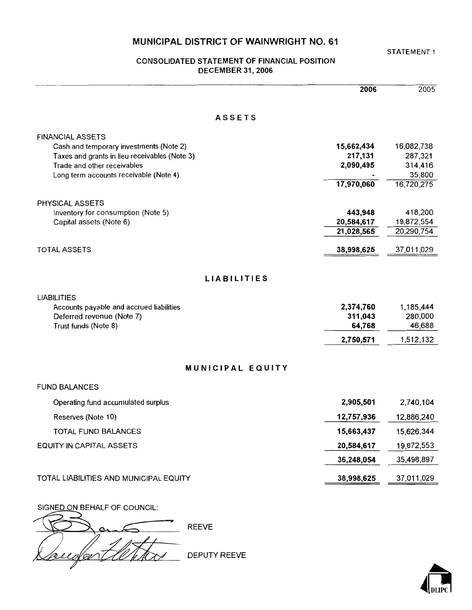#### **CONSOLIDATED STATEMENT OF FINANCIAL POSITION DECEMBER 31, 2006**

|                                                               | 2006                  | 2005                  |
|---------------------------------------------------------------|-----------------------|-----------------------|
| <b>ASSETS</b>                                                 |                       |                       |
| <b>FINANCIAL ASSETS</b>                                       |                       |                       |
| Cash and temporary investments (Note 2)                       | 15,662,434            | 16,082,738            |
| Taxes and grants in lieu receivables (Note 3)                 | 217,131               | 287,321               |
| Trade and other receivables                                   | 2,090,495             | 314,416               |
| Long term accounts receivable (Note 4)                        | 17,970,060            | 35,800<br>16,720,275  |
|                                                               |                       |                       |
| PHYSICAL ASSETS                                               |                       |                       |
| Inventory for consumption (Note 5)<br>Capital assets (Note 6) | 443,948<br>20,584,617 | 418,200<br>19,872,554 |
|                                                               | 21,028,565            | 20,290,754            |
|                                                               |                       |                       |
| <b>TOTAL ASSETS</b>                                           | 38,998,625            | 37,011,029            |
| <b>LIABILITIES</b>                                            |                       |                       |
| <b>LIABILITIES</b>                                            |                       |                       |
| Accounts payable and accrued liabilities                      | 2,374,760             | 1,185,444             |
| Deferred revenue (Note 7)                                     | 311,043               | 280,000               |
| Trust funds (Note 8)                                          | 64,768                | 46,688                |
|                                                               | 2,750,571             | 1,512,132             |
| MUNICIPAL EQUITY                                              |                       |                       |
| <b>FUND BALANCES</b>                                          |                       |                       |
| Operating fund accumulated surplus                            | 2,905,501             | 2,740,104             |
| Reserves (Note 10)                                            | 12,757,936            | 12,886,240            |
| TOTAL FUND BALANCES                                           | 15,663,437            | 15,626,344            |
| EQUITY IN CAPITAL ASSETS                                      | 20,584,617            | 19,872,553            |
|                                                               | 36,248,054            | 35,498,897            |
| TOTAL LIABILITIES AND MUNICIPAL EQUITY                        | 38,998,625            | 37,011,029            |
| SIGNED ON BEHALF OF COUNCIL:                                  |                       |                       |
|                                                               |                       |                       |

**REEVE** DEPUTY REEVE V çv

STATEMENT 1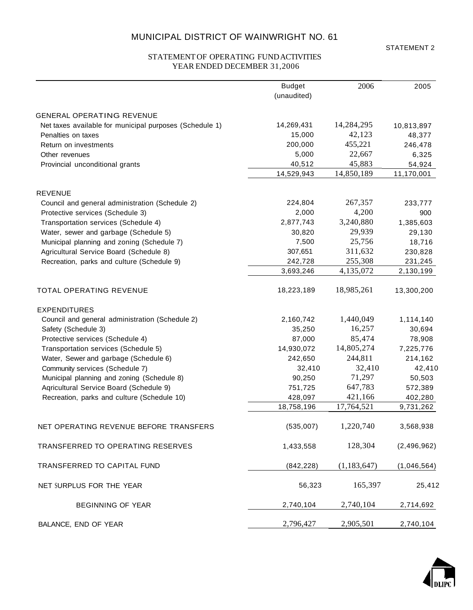STATEMENT 2

#### STATEMENT OF OPERATING FUNDACTIVITIES YEAR ENDED DECEMBER 31,2006

|                                                         | <b>Budget</b> | 2006          | 2005        |
|---------------------------------------------------------|---------------|---------------|-------------|
|                                                         | (unaudited)   |               |             |
| <b>GENERAL OPERATING REVENUE</b>                        |               |               |             |
| Net taxes available for municipal purposes (Schedule 1) | 14,269,431    | 14,284,295    | 10,813,897  |
| Penalties on taxes                                      | 15,000        | 42,123        | 48,377      |
| Return on investments                                   | 200,000       | 455,221       | 246,478     |
| Other revenues                                          | 5,000         | 22,667        | 6,325       |
| Provincial unconditional grants                         | 40,512        | 45,883        | 54,924      |
|                                                         | 14,529,943    | 14,850,189    | 11,170,001  |
| <b>REVENUE</b>                                          |               |               |             |
| Council and general administration (Schedule 2)         | 224,804       | 267,357       | 233,777     |
| Protective services (Schedule 3)                        | 2,000         | 4,200         | 900         |
| Transportation services (Schedule 4)                    | 2,877,743     | 3,240,880     | 1,385,603   |
| Water, sewer and garbage (Schedule 5)                   | 30,820        | 29,939        | 29,130      |
| Municipal planning and zoning (Schedule 7)              | 7,500         | 25,756        | 18,716      |
| Agricultural Service Board (Schedule 8)                 | 307,651       | 311,632       | 230,828     |
| Recreation, parks and culture (Schedule 9)              | 242,728       | 255,308       | 231,245     |
|                                                         | 3,693,246     | 4,135,072     | 2,130,199   |
| TOTAL OPERATING REVENUE                                 | 18,223,189    | 18,985,261    | 13,300,200  |
| <b>EXPENDITURES</b>                                     |               |               |             |
| Council and general administration (Schedule 2)         | 2,160,742     | 1,440,049     | 1,114,140   |
| Safety (Schedule 3)                                     | 35,250        | 16,257        | 30,694      |
| Protective services (Schedule 4)                        | 87,000        | 85,474        | 78,908      |
| Transportation services (Schedule 5)                    | 14,930,072    | 14,805,274    | 7,225,776   |
| Water, Sewer and garbage (Schedule 6)                   | 242,650       | 244,811       | 214,162     |
| Community services (Schedule 7)                         | 32,410        | 32,410        | 42,410      |
| Municipal planning and zoning (Schedule 8)              | 90,250        | 71,297        | 50,503      |
| Aqricultural Service Board (Schedule 9)                 | 751,725       | 647,783       | 572,389     |
| Recreation, parks and culture (Schedule 10)             | 428,097       | 421,166       | 402,280     |
|                                                         | 18,758,196    | 17,764,521    | 9,731,262   |
| NET OPERATING REVENUE BEFORE TRANSFERS                  | (535,007)     | 1,220,740     | 3,568,938   |
| TRANSFERRED TO OPERATING RESERVES                       | 1,433,558     | 128,304       | (2,496,962) |
| TRANSFERRED TO CAPITAL FUND                             | (842, 228)    | (1, 183, 647) | (1,046,564) |
| NET SURPLUS FOR THE YEAR                                | 56,323        | 165,397       | 25,412      |
| <b>BEGINNING OF YEAR</b>                                | 2,740,104     | 2,740,104     | 2,714,692   |
| BALANCE, END OF YEAR                                    | 2,796,427     | 2,905,501     | 2,740,104   |

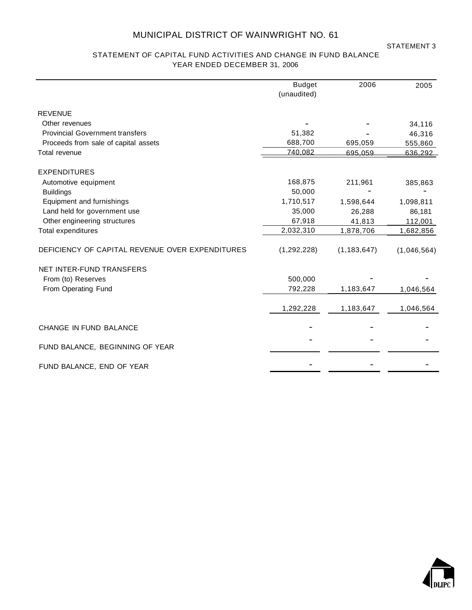STATEMENT 3

#### STATEMENT OF CAPITAL FUND ACTIVITIES AND CHANGE IN FUND BALANCE YEAR ENDED DECEMBER 31, 2006

|                                                 | <b>Budget</b><br>(unaudited) | 2006          | 2005        |
|-------------------------------------------------|------------------------------|---------------|-------------|
| <b>REVENUE</b>                                  |                              |               |             |
| Other revenues                                  |                              |               | 34,116      |
| <b>Provincial Government transfers</b>          | 51,382                       |               | 46,316      |
| Proceeds from sale of capital assets            | 688,700                      | 695,059       | 555,860     |
| Total revenue                                   | 740,082                      | 695,059       | 636,292     |
| <b>EXPENDITURES</b>                             |                              |               |             |
| Automotive equipment                            | 168,875                      | 211,961       | 385,863     |
| <b>Buildings</b>                                | 50,000                       |               |             |
| Equipment and furnishings                       | 1,710,517                    | 1,598,644     | 1,098,811   |
| Land held for government use                    | 35,000                       | 26,288        | 86,181      |
| Other engineering structures                    | 67,918                       | 41,813        | 112,001     |
| Total expenditures                              | 2,032,310                    | 1,878,706     | 1,682,856   |
| DEFICIENCY OF CAPITAL REVENUE OVER EXPENDITURES | (1,292,228)                  | (1, 183, 647) | (1,046,564) |
| NET INTER-FUND TRANSFERS                        |                              |               |             |
| From (to) Reserves                              | 500,000                      |               |             |
| From Operating Fund                             | 792,228                      | 1,183,647     | 1,046,564   |
|                                                 | 1,292,228                    | 1,183,647     | 1,046,564   |
| CHANGE IN FUND BALANCE                          |                              |               |             |
| FUND BALANCE, BEGINNING OF YEAR                 |                              |               |             |
| FUND BALANCE, END OF YEAR                       |                              |               |             |

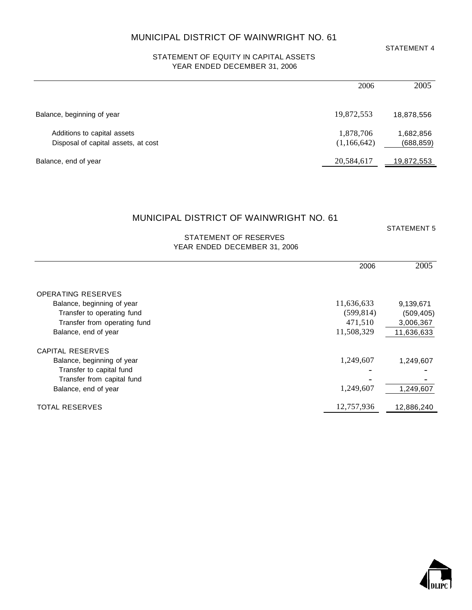#### STATEMENT OF EQUITY IN CAPITAL ASSETS YEAR ENDED DECEMBER 31, 2006

|                                                                    | 2006                     | 2005                    |
|--------------------------------------------------------------------|--------------------------|-------------------------|
| Balance, beginning of year                                         | 19,872,553               | 18,878,556              |
| Additions to capital assets<br>Disposal of capital assets, at cost | 1,878,706<br>(1,166,642) | 1,682,856<br>(688, 859) |
| Balance, end of year                                               | 20,584,617               | <u>19,872,553</u>       |

#### MUNICIPAL DISTRICT OF WAINWRIGHT NO. 61

STATEMENT 5

#### STATEMENT OF RESERVES YEAR ENDED DECEMBER 31, 2006

| 2006                                     | 2005       |
|------------------------------------------|------------|
|                                          |            |
| <b>OPERATING RESERVES</b>                |            |
| 11,636,633<br>Balance, beginning of year | 9,139,671  |
| (599, 814)<br>Transfer to operating fund | (509, 405) |
| 471,510<br>Transfer from operating fund  | 3,006,367  |
| 11,508,329<br>Balance, end of year       | 11,636,633 |
| CAPITAL RESERVES                         |            |
| 1,249,607<br>Balance, beginning of year  | 1,249,607  |
| Transfer to capital fund                 |            |
| Transfer from capital fund               |            |
| 1,249,607<br>Balance, end of year        | 1,249,607  |
| 12,757,936<br><b>TOTAL RESERVES</b>      | 12,886,240 |



STATEMENT 4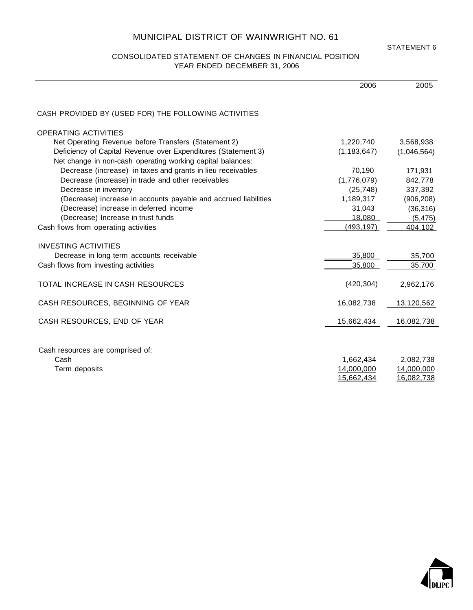#### CONSOLIDATED STATEMENT OF CHANGES IN FINANCIAL POSITION YEAR ENDED DECEMBER 31, 2006

STATEMENT 6

|                                                                 | 2006          | 2005        |
|-----------------------------------------------------------------|---------------|-------------|
| CASH PROVIDED BY (USED FOR) THE FOLLOWING ACTIVITIES            |               |             |
| <b>OPERATING ACTIVITIES</b>                                     |               |             |
| Net Operating Revenue before Transfers (Statement 2)            | 1,220,740     | 3,568,938   |
| Deficiency of Capital Revenue over Expenditures (Statement 3)   | (1, 183, 647) | (1,046,564) |
| Net change in non-cash operating working capital balances:      |               |             |
| Decrease (increase) in taxes and grants in lieu receivables     | 70,190        | 171,931     |
| Decrease (increase) in trade and other receivables              | (1,776,079)   | 842,778     |
| Decrease in inventory                                           | (25, 748)     | 337,392     |
| (Decrease) increase in accounts payable and accrued liabilities | 1,189,317     | (906, 208)  |
| (Decrease) increase in deferred income                          | 31,043        | (36, 316)   |
| (Decrease) Increase in trust funds                              | 18,080        | (5, 475)    |
| Cash flows from operating activities                            | (493, 197)    | 404,102     |
| <b>INVESTING ACTIVITIES</b>                                     |               |             |
| Decrease in long term accounts receivable                       | 35,800        | 35,700      |
| Cash flows from investing activities                            | 35,800        | 35,700      |
|                                                                 |               |             |
| TOTAL INCREASE IN CASH RESOURCES                                | (420, 304)    | 2,962,176   |
| CASH RESOURCES, BEGINNING OF YEAR                               | 16,082,738    | 13,120,562  |
| CASH RESOURCES, END OF YEAR                                     | 15,662,434    | 16,082,738  |
|                                                                 |               |             |
| Cash resources are comprised of:                                |               |             |
| Cash                                                            | 1,662,434     | 2,082,738   |
| Term deposits                                                   | 14,000,000    | 14,000,000  |
|                                                                 | 15,662,434    | 16,082,738  |
|                                                                 |               |             |

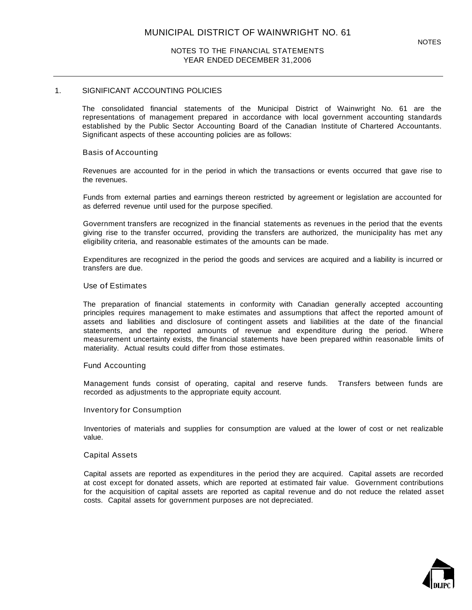#### 1. SIGNIFICANT ACCOUNTING POLICIES

The consolidated financial statements of the Municipal District of Wainwright No. 61 are the representations of management prepared in accordance with local government accounting standards established by the Public Sector Accounting Board of the Canadian Institute of Chartered Accountants. Significant aspects of these accounting policies are as follows:

#### Basis of Accounting

Revenues are accounted for in the period in which the transactions or events occurred that gave rise to the revenues.

Funds from external parties and earnings thereon restricted by agreement or legislation are accounted for as deferred revenue until used for the purpose specified.

Government transfers are recognized in the financial statements as revenues in the period that the events giving rise to the transfer occurred, providing the transfers are authorized, the municipality has met any eligibility criteria, and reasonable estimates of the amounts can be made.

Expenditures are recognized in the period the goods and services are acquired and a liability is incurred or transfers are due.

#### Use of Estimates

The preparation of financial statements in conformity with Canadian generally accepted accounting principles requires management to make estimates and assumptions that affect the reported amount of assets and liabilities and disclosure of contingent assets and liabilities at the date of the financial statements, and the reported amounts of revenue and expenditure during the period. Where measurement uncertainty exists, the financial statements have been prepared within reasonable limits of materiality. Actual results could differ from those estimates.

#### Fund Accounting

Management funds consist of operating, capital and reserve funds. Transfers between funds are recorded as adjustments to the appropriate equity account.

#### Inventory for Consumption

Inventories of materials and supplies for consumption are valued at the lower of cost or net realizable value.

#### Capital Assets

Capital assets are reported as expenditures in the period they are acquired. Capital assets are recorded at cost except for donated assets, which are reported at estimated fair value. Government contributions for the acquisition of capital assets are reported as capital revenue and do not reduce the related asset costs. Capital assets for government purposes are not depreciated.

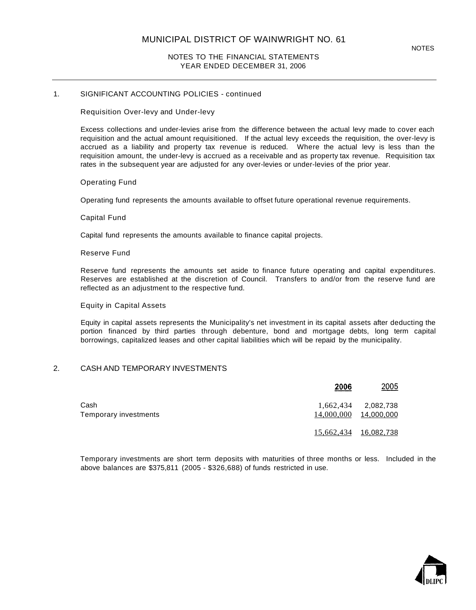#### 1. SIGNIFICANT ACCOUNTING POLICIES - continued

Requisition Over-levy and Under-levy

Excess collections and under-levies arise from the difference between the actual levy made to cover each requisition and the actual amount requisitioned. If the actual levy exceeds the requisition, the over-levy is accrued as a liability and property tax revenue is reduced. Where the actual levy is less than the requisition amount, the under-levy is accrued as a receivable and as property tax revenue. Requisition tax rates in the subsequent year are adjusted for any over-levies or under-levies of the prior year.

#### Operating Fund

Operating fund represents the amounts available to offset future operational revenue requirements.

#### Capital Fund

Capital fund represents the amounts available to finance capital projects.

#### Reserve Fund

Reserve fund represents the amounts set aside to finance future operating and capital expenditures. Reserves are established at the discretion of Council. Transfers to and/or from the reserve fund are reflected as an adjustment to the respective fund.

#### Equity in Capital Assets

Equity in capital assets represents the Municipality's net investment in its capital assets after deducting the portion financed by third parties through debenture, bond and mortgage debts, long term capital borrowings, capitalized leases and other capital liabilities which will be repaid by the municipality.

#### 2. CASH AND TEMPORARY INVESTMENTS

|                               | 2006                  | <u> 2005 </u>                     |
|-------------------------------|-----------------------|-----------------------------------|
| Cash<br>Temporary investments | 14,000,000            | 1,662,434 2,082,738<br>14,000,000 |
|                               | 15,662,434 16,082,738 |                                   |

Temporary investments are short term deposits with maturities of three months or less. Included in the above balances are \$375,811 (2005 - \$326,688) of funds restricted in use.

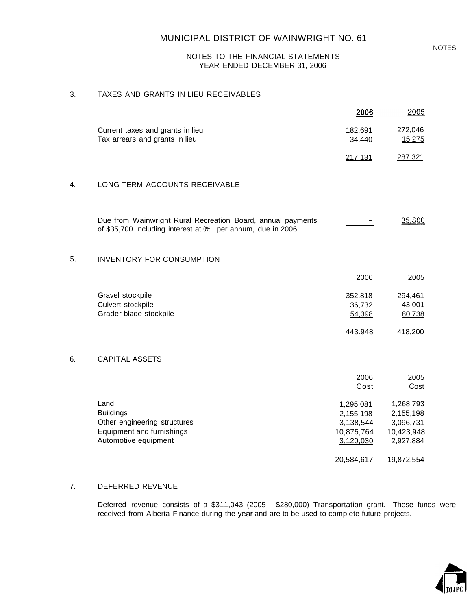#### 3. TAXES AND GRANTS IN LIEU RECEIVABLES

|    |                                                                                                                             | 2006                                                                         | 2005                                                                         |
|----|-----------------------------------------------------------------------------------------------------------------------------|------------------------------------------------------------------------------|------------------------------------------------------------------------------|
|    | Current taxes and grants in lieu<br>Tax arrears and grants in lieu                                                          | 182,691<br>34,440                                                            | 272,046<br>15,275                                                            |
|    |                                                                                                                             | 217.131                                                                      | 287.321                                                                      |
| 4. | LONG TERM ACCOUNTS RECEIVABLE                                                                                               |                                                                              |                                                                              |
|    | Due from Wainwright Rural Recreation Board, annual payments<br>of \$35,700 including interest at 0% per annum, due in 2006. |                                                                              | 35,800                                                                       |
| 5. | <b>INVENTORY FOR CONSUMPTION</b>                                                                                            |                                                                              |                                                                              |
|    |                                                                                                                             | 2006                                                                         | 2005                                                                         |
|    | Gravel stockpile<br>Culvert stockpile<br>Grader blade stockpile                                                             | 352,818<br>36,732<br>54,398<br>443.948                                       | 294,461<br>43,001<br>80,738<br>418,200                                       |
| 6. | <b>CAPITAL ASSETS</b>                                                                                                       |                                                                              |                                                                              |
|    |                                                                                                                             | 2006<br>Cost                                                                 | 2005<br>Cost                                                                 |
|    | Land<br><b>Buildings</b><br>Other engineering structures<br>Equipment and furnishings<br>Automotive equipment               | 1,295,081<br>2,155,198<br>3,138,544<br>10,875,764<br>3,120,030<br>20,584,617 | 1,268,793<br>2,155,198<br>3,096,731<br>10,423,948<br>2,927,884<br>19,872.554 |

#### 7. DEFERRED REVENUE

Deferred revenue consists of a \$311,043 (2005 - \$280,000) Transportation grant. These funds were received from Alberta Finance during the year and are to be used to complete future projects.

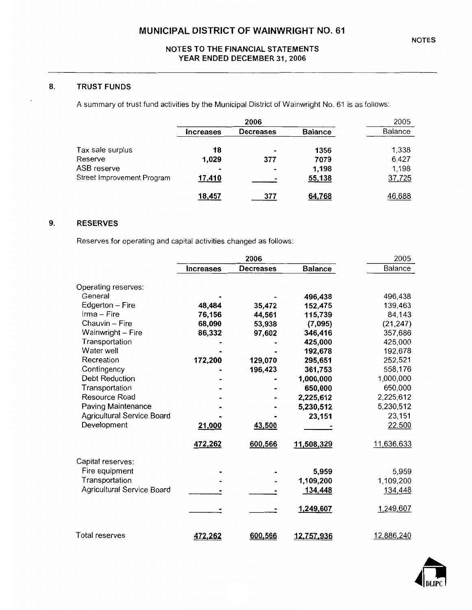#### **TRUST FUNDS** 8.

A summary of trust fund activities by the Municipal District of Wainwright No. 61 is as follows:

|                            |                  | 2006             |                | 2005           |
|----------------------------|------------------|------------------|----------------|----------------|
|                            | <b>Increases</b> | <b>Decreases</b> | <b>Balance</b> | <b>Balance</b> |
| Tax sale surplus           | 18               |                  | 1356           | 1,338          |
| Reserve                    | 1,029            | 377              | 7079           | 6,427          |
| ASB reserve                |                  |                  | 1,198          | 1,198          |
| Street Improvement Program | 17,410           |                  | 55,138         | 37,725         |
|                            | 18,457           | 377              | 64,768         | 46,688         |

#### 9. **RESERVES**

Reserves for operating and capital activities changed as follows:

|                            | 2006             |                  | 2005           |            |
|----------------------------|------------------|------------------|----------------|------------|
|                            | <b>Increases</b> | <b>Decreases</b> | <b>Balance</b> | Balance    |
| Operating reserves:        |                  |                  |                |            |
| General                    |                  |                  | 496,438        | 496,438    |
| Edgerton - Fire            | 48,484           | 35,472           | 152,475        | 139,463    |
| Irma - Fire                | 76,156           | 44,561           | 115,739        | 84,143     |
| Chauvin - Fire             | 68,090           | 53,938           | (7,095)        | (21, 247)  |
| Wainwright - Fire          | 86,332           | 97,602           | 346,416        | 357,686    |
| Transportation             |                  |                  | 425,000        | 425,000    |
| Water well                 |                  |                  | 192,678        | 192,678    |
| Recreation                 | 172,200          | 129,070          | 295,651        | 252,521    |
| Contingency                |                  | 196,423          | 361,753        | 558,176    |
| <b>Debt Reduction</b>      |                  |                  | 1,000,000      | 1,000,000  |
| Transportation             |                  |                  | 650,000        | 650,000    |
| Resource Road              |                  |                  | 2,225,612      | 2,225,612  |
| Paving Maintenance         |                  |                  | 5,230,512      | 5,230,512  |
| Agricultural Service Board |                  |                  | 23,151         | 23,151     |
| Development                | 21,000           | 43,500           |                | 22,500     |
|                            | 472,262          | 600,566          | 11,508,329     | 11,636,633 |
| Capital reserves:          |                  |                  |                |            |
| Fire equipment             |                  |                  | 5,959          | 5,959      |
| Transportation             |                  |                  | 1,109,200      | 1,109,200  |
| Agricultural Service Board |                  |                  | 134,448        | 134,448    |
|                            |                  |                  |                |            |
|                            |                  |                  | 1,249,607      | 1,249,607  |
|                            |                  |                  |                |            |
| <b>Total reserves</b>      | 472,262          | 600,566          | 12,757,936     | 12,886,240 |

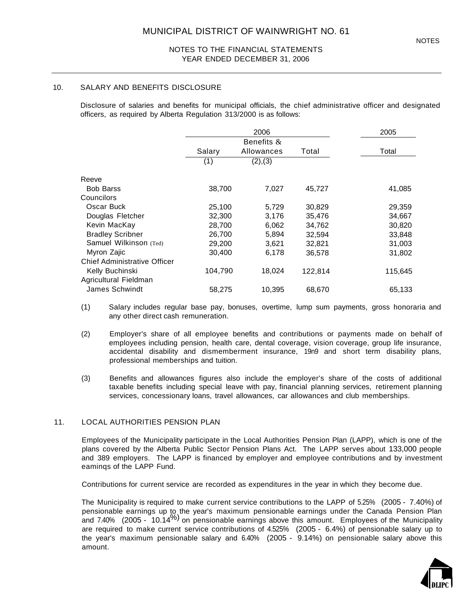#### 10. SALARY AND BENEFITS DISCLOSURE

Disclosure of salaries and benefits for municipal officials, the chief administrative officer and designated officers, as required by Alberta Regulation 313/2000 is as follows:

|                                     |         | 2006       |         | 2005    |
|-------------------------------------|---------|------------|---------|---------|
|                                     |         | Benefits & |         |         |
|                                     | Salary  | Allowances | Total   | Total   |
|                                     | (1)     | (2), (3)   |         |         |
| Reeve                               |         |            |         |         |
| <b>Bob Barss</b>                    | 38,700  | 7,027      | 45,727  | 41,085  |
| Councilors                          |         |            |         |         |
| Oscar Buck                          | 25,100  | 5,729      | 30,829  | 29,359  |
| Douglas Fletcher                    | 32,300  | 3,176      | 35,476  | 34,667  |
| Kevin MacKay                        | 28,700  | 6,062      | 34,762  | 30,820  |
| <b>Bradley Scribner</b>             | 26,700  | 5,894      | 32,594  | 33,848  |
| Samuel Wilkinson (Ted)              | 29,200  | 3,621      | 32,821  | 31,003  |
| Myron Zajic                         | 30,400  | 6,178      | 36,578  | 31,802  |
| <b>Chief Administrative Officer</b> |         |            |         |         |
| Kelly Buchinski                     | 104,790 | 18,024     | 122,814 | 115,645 |
| Agricultural Fieldman               |         |            |         |         |
| James Schwindt                      | 58,275  | 10,395     | 68,670  | 65,133  |

(1) Salary includes regular base pay, bonuses, overtime, lump sum payments, gross honoraria and any other direct cash remuneration.

- (2) Employer's share of all employee benefits and contributions or payments made on behalf of employees including pension, health care, dental coverage, vision coverage, group life insurance, accidental disability and dismemberment insurance, 19n9 and short term disability plans, professional memberships and tuition.
- (3) Benefits and allowances figures also include the employer's share of the costs of additional taxable benefits including special leave with pay, financial planning services, retirement planning services, concessionary loans, travel allowances, car allowances and club memberships.

#### 11. LOCAL AUTHORITIES PENSION PLAN

Employees of the Municipality participate in the Local Authorities Pension Plan (LAPP), which is one of the plans covered by the Alberta Public Sector Pension Plans Act. The LAPP serves about 133,000 people and 389 employers. The LAPP is financed by employer and employee contributions and by investment eaminqs of the LAPP Fund.

Contributions for current service are recorded as expenditures in the year in which they become due.

The Municipality is required to make current service contributions to the LAPP of 5.25% (2005 - 7.40%) of pensionable earnings up to the year's maximum pensionable earnings under the Canada Pension Plan and 7.40% (2005 - 10.14<sup>%)</sup> on pensionable earnings above this amount. Employees of the Municipality are required to make current service contributions of 4.525% (2005 - 6.4%) of pensionable salary up to the year's maximum pensionable salary and 6.40% (2005 - 9.14%) on pensionable salary above this amount.

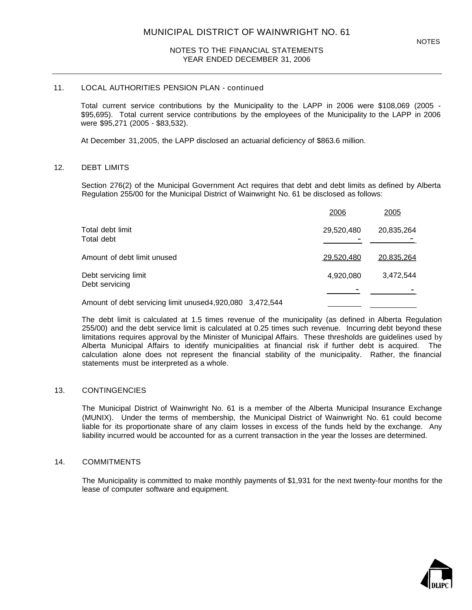#### 11. LOCAL AUTHORITIES PENSION PLAN - continued

Total current service contributions by the Municipality to the LAPP in 2006 were \$108,069 (2005 - \$95,695). Total current service contributions by the employees of the Municipality to the LAPP in 2006 were \$95,271 (2005 - \$83,532).

At December 31,2005, the LAPP disclosed an actuarial deficiency of \$863.6 million.

#### 12. DEBT LIMITS

Section 276(2) of the Municipal Government Act requires that debt and debt limits as defined by Alberta Regulation 255/00 for the Municipal District of Wainwright No. 61 be disclosed as follows:

|                                                          | 2006       | 2005       |
|----------------------------------------------------------|------------|------------|
| Total debt limit<br>Total debt                           | 29,520,480 | 20,835,264 |
| Amount of debt limit unused                              | 29.520.480 | 20.835.264 |
| Debt servicing limit<br>Debt servicing                   | 4,920,080  | 3,472,544  |
| Amount of debt servicing limit unused4,920,080 3,472,544 |            |            |

The debt limit is calculated at 1.5 times revenue of the municipality (as defined in Alberta Regulation 255/00) and the debt service limit is calculated at 0.25 times such revenue. Incurring debt beyond these limitations requires approval by the Minister of Municipal Affairs. These thresholds are guidelines used by Alberta Municipal Affairs to identify municipalities at financial risk if further debt is acquired. The calculation alone does not represent the financial stability of the municipality. Rather, the financial statements must be interpreted as a whole.

#### 13. CONTINGENCIES

The Municipal District of Wainwright No. 61 is a member of the Alberta Municipal Insurance Exchange (MUNIX). Under the terms of membership, the Municipal District of Wainwright No. 61 could become liable for its proportionate share of any claim losses in excess of the funds held by the exchange. Any liability incurred would be accounted for as a current transaction in the year the losses are determined.

#### 14. COMMITMENTS

The Municipality is committed to make monthly payments of \$1,931 for the next twenty-four months for the lease of computer software and equipment.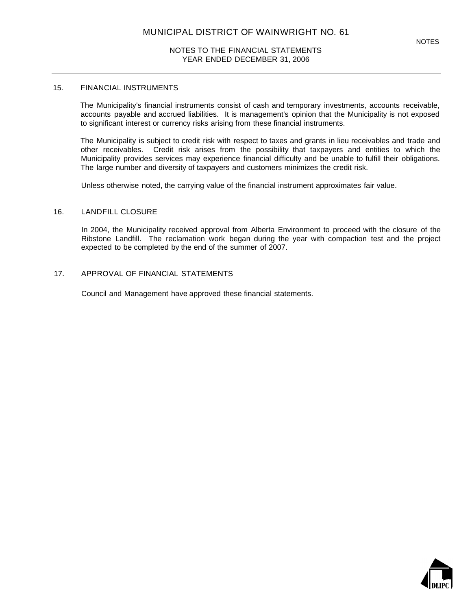#### 15. FINANCIAL INSTRUMENTS

The Municipality's financial instruments consist of cash and temporary investments, accounts receivable, accounts payable and accrued liabilities. It is management's opinion that the Municipality is not exposed to significant interest or currency risks arising from these financial instruments.

The Municipality is subject to credit risk with respect to taxes and grants in lieu receivables and trade and other receivables. Credit risk arises from the possibility that taxpayers and entities to which the Municipality provides services may experience financial difficulty and be unable to fulfill their obligations. The large number and diversity of taxpayers and customers minimizes the credit risk.

Unless otherwise noted, the carrying value of the financial instrument approximates fair value.

#### 16. LANDFILL CLOSURE

In 2004, the Municipality received approval from Alberta Environment to proceed with the closure of the Ribstone Landfill. The reclamation work began during the year with compaction test and the project expected to be completed by the end of the summer of 2007.

#### 17. APPROVAL OF FINANCIAL STATEMENTS

Council and Management have approved these financial statements.

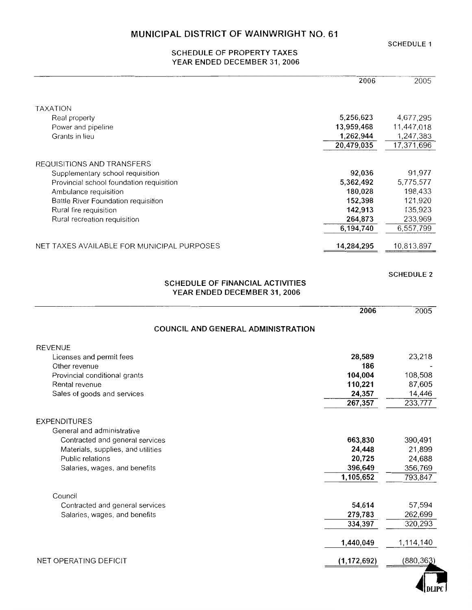#### **SCHEDULE 1**

#### **SCHEDULE OF PROPERTY TAXES** YEAR ENDED DECEMBER 31, 2006

|                                                                                                                                                                            | 2006                                      | 2005                                      |
|----------------------------------------------------------------------------------------------------------------------------------------------------------------------------|-------------------------------------------|-------------------------------------------|
| <b>TAXATION</b>                                                                                                                                                            |                                           |                                           |
| Real property                                                                                                                                                              | 5,256,623                                 | 4,677,295                                 |
| Power and pipeline                                                                                                                                                         | 13,959,468                                | 11,447,018                                |
| Grants in lieu                                                                                                                                                             | 1,262,944                                 | 1,247,383                                 |
|                                                                                                                                                                            | 20,479,035                                | 17,371,696                                |
| REQUISITIONS AND TRANSFERS<br>Supplementary school requisition<br>Provincial school foundation requisition<br>Ambulance requisition<br>Battle River Foundation requisition | 92,036<br>5,362,492<br>180,028<br>152,398 | 91,977<br>5,775,577<br>198,433<br>121,920 |
| Rural fire requisition                                                                                                                                                     | 142,913<br>264,873                        | 135,923<br>233,969                        |
| Rural recreation requisition                                                                                                                                               | 6,194,740                                 | 6,557,799                                 |
| NET TAXES AVAILABLE FOR MUNICIPAL PURPOSES                                                                                                                                 | 14,284,295                                | 10,813,897                                |
|                                                                                                                                                                            |                                           |                                           |

#### **SCHEDULE 2**

#### **SCHEDULE OF FINANCIAL ACTIVITIES** YEAR ENDED DECEMBER 31, 2006

|                                                                                                                                                                                 | 2006                                                | 2005                                              |
|---------------------------------------------------------------------------------------------------------------------------------------------------------------------------------|-----------------------------------------------------|---------------------------------------------------|
| COUNCIL AND GENERAL ADMINISTRATION                                                                                                                                              |                                                     |                                                   |
| <b>REVENUE</b>                                                                                                                                                                  |                                                     |                                                   |
| Licenses and permit fees                                                                                                                                                        | 28,589                                              | 23,218                                            |
| Other revenue                                                                                                                                                                   | 186                                                 |                                                   |
| Provincial conditional grants                                                                                                                                                   | 104,004                                             | 108,508                                           |
| Rental revenue                                                                                                                                                                  | 110,221                                             | 87,605                                            |
| Sales of goods and services                                                                                                                                                     | 24,357                                              | 14,446                                            |
|                                                                                                                                                                                 | 267,357                                             | 233,777                                           |
| <b>EXPENDITURES</b><br>General and administrative<br>Contracted and general services<br>Materials, supplies, and utilities<br>Public relations<br>Salaries, wages, and benefits | 663,830<br>24,448<br>20,725<br>396,649<br>1,105,652 | 390,491<br>21,899<br>24,688<br>356,769<br>793,847 |
| Council                                                                                                                                                                         |                                                     |                                                   |
| Contracted and general services                                                                                                                                                 | 54,614                                              | 57,594                                            |
| Salaries, wages, and benefits                                                                                                                                                   | 279,783                                             | 262,699                                           |
|                                                                                                                                                                                 | 334,397                                             | 320,293                                           |
|                                                                                                                                                                                 | 1,440,049                                           | 1,114,140                                         |
| NET OPERATING DEFICIT                                                                                                                                                           | (1, 172, 692)                                       | (880, 363)                                        |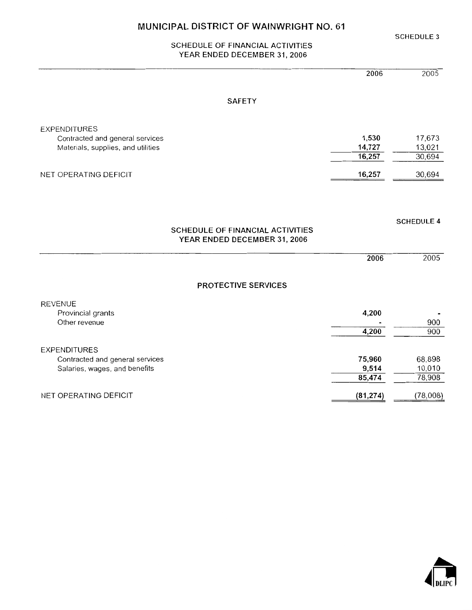SCHEDULE OF FINANCIAL ACTIVITIES YEAR ENDED DECEMBER 31, 2006

|                                    |                                  | 2005<br>2006      |
|------------------------------------|----------------------------------|-------------------|
|                                    | <b>SAFETY</b>                    |                   |
| <b>EXPENDITURES</b>                |                                  |                   |
| Contracted and general services    | 1,530                            | 17,673            |
| Materials, supplies, and utilities | 14,727                           | 13,021            |
|                                    | 16,257                           | 30,694            |
| NET OPERATING DEFICIT              | 16,257                           | 30,694            |
|                                    |                                  |                   |
|                                    |                                  |                   |
|                                    | SCHEDULE OF FINANCIAL ACTIVITIES | <b>SCHEDULE 4</b> |
|                                    | YEAR ENDED DECEMBER 31, 2006     |                   |
|                                    |                                  | 2006<br>2005      |
|                                    | PROTECTIVE SERVICES              |                   |
| <b>REVENUE</b>                     |                                  |                   |
| Provincial grants                  | 4,200                            |                   |
| Other revenue                      |                                  | 900               |
|                                    | 4,200                            | 900               |
| <b>EXPENDITURES</b>                |                                  |                   |
| Contracted and general services    | 75,960                           | 68,898            |
| Salaries, wages, and benefits      | 9,514                            | 10,010            |
|                                    | 85,474                           | 78,908            |
| NET OPERATING DEFICIT              | (81, 274)                        | (78,008)          |



**SCHEDULE 3**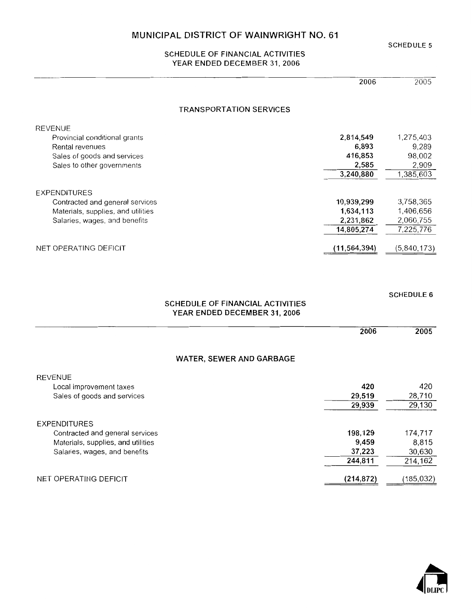SCHEDULE OF FINANCIAL ACTIVITIES YEAR ENDED DECEMBER 31, 2006

|                                    | 2006           | 2005        |
|------------------------------------|----------------|-------------|
| <b>TRANSPORTATION SERVICES</b>     |                |             |
| <b>REVENUE</b>                     |                |             |
| Provincial conditional grants      | 2,814,549      | 1,275,403   |
| Rental revenues                    | 6,893          | 9,289       |
| Sales of goods and services        | 416,853        | 98,002      |
| Sales to other governments         | 2,585          | 2,909       |
|                                    | 3,240,880      | 1,385,603   |
| <b>EXPENDITURES</b>                |                |             |
| Contracted and general services    | 10,939,299     | 3,758,365   |
| Materials, supplies, and utilities | 1,634,113      | 1,406,656   |
| Salaries, wages, and benefits      | 2,231,862      | 2,060,755   |
|                                    | 14,805,274     | 7,225,776   |
| NET OPERATING DEFICIT              | (11, 564, 394) | (5,840,173) |

#### SCHEDULE OF FINANCIAL ACTIVITIES YEAR ENDED DECEMBER 31, 2006

|                                    | 2006       | 2005       |
|------------------------------------|------------|------------|
| <b>WATER, SEWER AND GARBAGE</b>    |            |            |
| <b>REVENUE</b>                     |            |            |
| Local improvement taxes            | 420        | 420        |
| Sales of goods and services        | 29,519     | 28,710     |
|                                    | 29,939     | 29,130     |
| <b>EXPENDITURES</b>                |            |            |
| Contracted and general services    | 198,129    | 174,717    |
| Materials, supplies, and utilities | 9,459      | 8,815      |
| Salaries, wages, and benefits      | 37,223     | 30,630     |
|                                    | 244,811    | 214,162    |
| NET OPERATING DEFICIT              | (214, 872) | (185, 032) |



#### **SCHEDULE 5**

**SCHEDULE 6**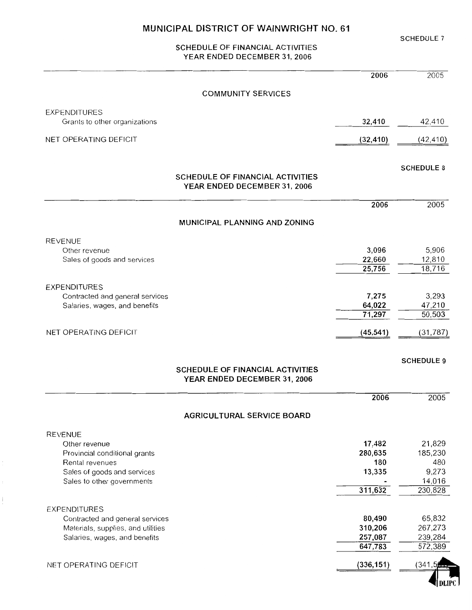**SCHEDULE 7** 

 $\blacksquare$ 

#### SCHEDULE OF FINANCIAL ACTIVITIES YEAR ENDED DECEMBER 31, 2006

|                                                |                                                                  | 2006               | 2005               |
|------------------------------------------------|------------------------------------------------------------------|--------------------|--------------------|
|                                                | <b>COMMUNITY SERVICES</b>                                        |                    |                    |
| <b>EXPENDITURES</b>                            |                                                                  |                    |                    |
| Grants to other organizations                  |                                                                  | 32,410             | 42,410             |
| NET OPERATING DEFICIT                          |                                                                  | (32, 410)          | (42, 410)          |
|                                                |                                                                  |                    | <b>SCHEDULE 8</b>  |
|                                                | SCHEDULE OF FINANCIAL ACTIVITIES<br>YEAR ENDED DECEMBER 31, 2006 |                    |                    |
|                                                |                                                                  | 2006               | 2005               |
|                                                | MUNICIPAL PLANNING AND ZONING                                    |                    |                    |
| <b>REVENUE</b>                                 |                                                                  |                    |                    |
| Other revenue                                  |                                                                  | 3,096              | 5,906              |
| Sales of goods and services                    |                                                                  | 22,660<br>25,756   | 12,810<br>18,716   |
|                                                |                                                                  |                    |                    |
| <b>EXPENDITURES</b>                            |                                                                  |                    |                    |
| Contracted and general services                |                                                                  | 7,275<br>64,022    | 3,293              |
| Salaries, wages, and benefits                  |                                                                  | 71,297             | 47,210<br>50,503   |
| NET OPERATING DEFICIT                          |                                                                  | (45, 541)          | (31, 787)          |
|                                                |                                                                  |                    | <b>SCHEDULE 9</b>  |
|                                                | SCHEDULE OF FINANCIAL ACTIVITIES<br>YEAR ENDED DECEMBER 31, 2006 |                    |                    |
|                                                |                                                                  | 2006               | 2005               |
|                                                | <b>AGRICULTURAL SERVICE BOARD</b>                                |                    |                    |
| <b>REVENUE</b>                                 |                                                                  |                    |                    |
| Other revenue                                  |                                                                  | 17,482             | 21,829             |
| Provincial conditional grants                  |                                                                  | 280,635            | 185,230            |
| Rental revenues<br>Sales of goods and services |                                                                  | 180<br>13,335      | 480<br>9,273       |
| Sales to other governments                     |                                                                  |                    | 14,016             |
|                                                |                                                                  | 311,632            | 230,828            |
| <b>EXPENDITURES</b>                            |                                                                  |                    |                    |
| Contracted and general services                |                                                                  | 80,490             | 65,832             |
| Materials, supplies, and utilities             |                                                                  | 310,206            | 267,273            |
| Salaries, wages, and benefits                  |                                                                  | 257,087<br>647,783 | 239,284<br>572,389 |
| NET OPERATING DEFICIT                          |                                                                  | (336, 151)         | (341               |
|                                                |                                                                  |                    |                    |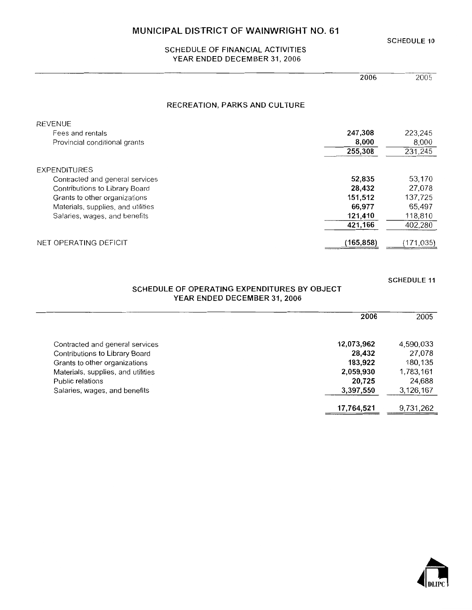**SCHEDULE 10** 

#### SCHEDULE OF FINANCIAL ACTIVITIES YEAR ENDED DECEMBER 31, 2006

| 2006 | 2005 |
|------|------|

#### RECREATION, PARKS AND CULTURE

| REVENUE                            |           |           |
|------------------------------------|-----------|-----------|
| Fees and rentals                   | 247,308   | 223,245   |
| Provincial conditional grants      | 8,000     | 8,000     |
|                                    | 255,308   | 231,245   |
| EXPENDITURES                       |           |           |
| Contracted and general services    | 52,835    | 53,170    |
| Contributions to Library Board     | 28,432    | 27.078    |
| Grants to other organizations      | 151,512   | 137,725   |
| Materials, supplies, and utilities | 66,977    | 65,497    |
| Salaries, wages, and benefits      | 121,410   | 118,810   |
|                                    | 421,166   | 402,280   |
| NET OPERATING DEFICIT              | (165,858) | (171,035) |

**SCHEDULE 11** 

#### SCHEDULE OF OPERATING EXPENDITURES BY OBJECT YEAR ENDED DECEMBER 31, 2006

|                                    | 2006       | 2005      |
|------------------------------------|------------|-----------|
| Contracted and general services    | 12,073,962 | 4,590,033 |
| Contributions to Library Board     | 28,432     | 27,078    |
| Grants to other organizations      | 183,922    | 180,135   |
| Materials, supplies, and utilities | 2,059,930  | 1,783,161 |
| Public relations                   | 20,725     | 24,688    |
| Salaries, wages, and benefits      | 3,397,550  | 3,126,167 |
|                                    |            |           |
|                                    | 17,764,521 | 9,731,262 |

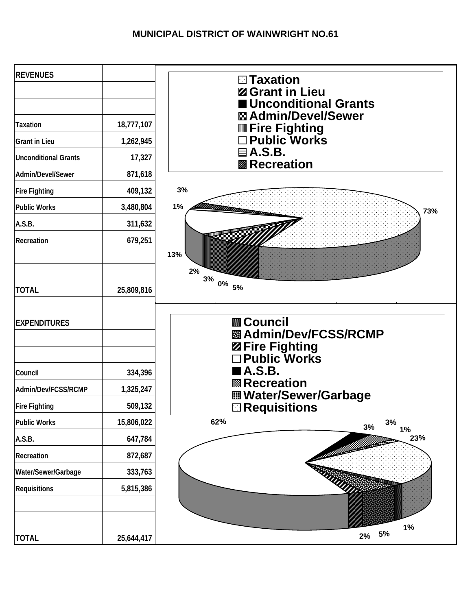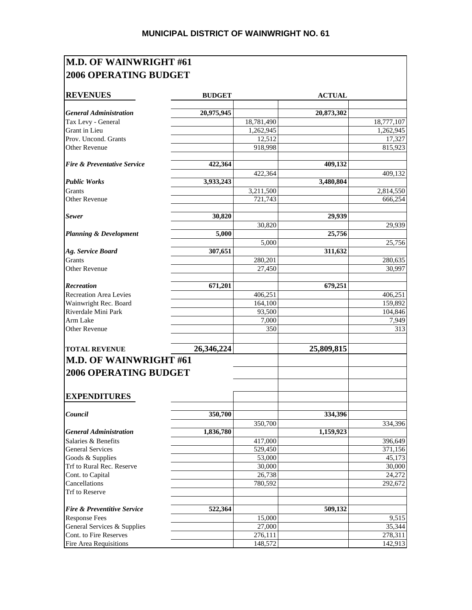### **M.D. OF WAINWRIGHT #61 2006 OPERATING BUDGET**

| <b>General Administration</b><br>20,975,945<br>20,873,302<br>Tax Levy - General<br>18,781,490<br>18,777,107<br>Grant in Lieu<br>1,262,945<br>1,262,945<br>Prov. Uncond. Grants<br>12,512<br>17,327<br>918,998<br>815,923<br><b>Other Revenue</b><br>422,364<br>409,132<br>422,364<br><b>Public Works</b><br>3,480,804<br>3,933,243<br><b>Grants</b><br>3,211,500<br><b>Other Revenue</b><br>666,254<br>721,743<br>30,820<br><b>Sewer</b><br>29,939<br>30,820<br>29,939<br><b>Planning &amp; Development</b><br>5,000<br>25,756<br>5.000<br>25,756<br>Ag. Service Board<br>307,651<br>311,632<br>Grants<br>280,201<br>280,635<br><b>Other Revenue</b><br>27,450<br>30,997<br>671,201<br>679,251<br>406,251<br>164,100<br>93,500<br>7,000<br>350<br>26,346,224<br>25,809,815<br><b>M.D. OF WAINWRIGHT #61</b><br><b>2006 OPERATING BUDGET</b><br><b>EXPENDITURES</b><br>350,700<br>334,396<br>350,700<br>334,396<br><b>General Administration</b><br>1,836,780<br>1,159,923<br>Salaries & Benefits<br>417,000<br>396,649<br><b>General Services</b><br>529,450<br>371,156<br>Goods & Supplies<br>53,000<br>45,173<br>Trf to Rural Rec. Reserve<br>30,000<br>30,000<br>Cont. to Capital<br>26,738<br>24,272<br>Cancellations<br>780,592<br>292,672<br>522,364<br><b>Fire &amp; Preventitive Service</b><br>509,132<br>15,000<br>9,515<br><b>Response Fees</b><br>General Services & Supplies<br>27,000<br>35,344<br>Cont. to Fire Reserves<br>276,111<br>278,311 | <b>REVENUES</b>                        | <b>BUDGET</b> | <b>ACTUAL</b> |           |
|---------------------------------------------------------------------------------------------------------------------------------------------------------------------------------------------------------------------------------------------------------------------------------------------------------------------------------------------------------------------------------------------------------------------------------------------------------------------------------------------------------------------------------------------------------------------------------------------------------------------------------------------------------------------------------------------------------------------------------------------------------------------------------------------------------------------------------------------------------------------------------------------------------------------------------------------------------------------------------------------------------------------------------------------------------------------------------------------------------------------------------------------------------------------------------------------------------------------------------------------------------------------------------------------------------------------------------------------------------------------------------------------------------------------------------------------------------------|----------------------------------------|---------------|---------------|-----------|
|                                                                                                                                                                                                                                                                                                                                                                                                                                                                                                                                                                                                                                                                                                                                                                                                                                                                                                                                                                                                                                                                                                                                                                                                                                                                                                                                                                                                                                                               |                                        |               |               |           |
|                                                                                                                                                                                                                                                                                                                                                                                                                                                                                                                                                                                                                                                                                                                                                                                                                                                                                                                                                                                                                                                                                                                                                                                                                                                                                                                                                                                                                                                               |                                        |               |               |           |
|                                                                                                                                                                                                                                                                                                                                                                                                                                                                                                                                                                                                                                                                                                                                                                                                                                                                                                                                                                                                                                                                                                                                                                                                                                                                                                                                                                                                                                                               |                                        |               |               |           |
|                                                                                                                                                                                                                                                                                                                                                                                                                                                                                                                                                                                                                                                                                                                                                                                                                                                                                                                                                                                                                                                                                                                                                                                                                                                                                                                                                                                                                                                               |                                        |               |               |           |
|                                                                                                                                                                                                                                                                                                                                                                                                                                                                                                                                                                                                                                                                                                                                                                                                                                                                                                                                                                                                                                                                                                                                                                                                                                                                                                                                                                                                                                                               |                                        |               |               |           |
|                                                                                                                                                                                                                                                                                                                                                                                                                                                                                                                                                                                                                                                                                                                                                                                                                                                                                                                                                                                                                                                                                                                                                                                                                                                                                                                                                                                                                                                               |                                        |               |               |           |
|                                                                                                                                                                                                                                                                                                                                                                                                                                                                                                                                                                                                                                                                                                                                                                                                                                                                                                                                                                                                                                                                                                                                                                                                                                                                                                                                                                                                                                                               | <b>Fire &amp; Preventative Service</b> |               |               |           |
|                                                                                                                                                                                                                                                                                                                                                                                                                                                                                                                                                                                                                                                                                                                                                                                                                                                                                                                                                                                                                                                                                                                                                                                                                                                                                                                                                                                                                                                               |                                        |               |               | 409,132   |
|                                                                                                                                                                                                                                                                                                                                                                                                                                                                                                                                                                                                                                                                                                                                                                                                                                                                                                                                                                                                                                                                                                                                                                                                                                                                                                                                                                                                                                                               |                                        |               |               |           |
|                                                                                                                                                                                                                                                                                                                                                                                                                                                                                                                                                                                                                                                                                                                                                                                                                                                                                                                                                                                                                                                                                                                                                                                                                                                                                                                                                                                                                                                               |                                        |               |               | 2,814,550 |
|                                                                                                                                                                                                                                                                                                                                                                                                                                                                                                                                                                                                                                                                                                                                                                                                                                                                                                                                                                                                                                                                                                                                                                                                                                                                                                                                                                                                                                                               |                                        |               |               |           |
|                                                                                                                                                                                                                                                                                                                                                                                                                                                                                                                                                                                                                                                                                                                                                                                                                                                                                                                                                                                                                                                                                                                                                                                                                                                                                                                                                                                                                                                               |                                        |               |               |           |
|                                                                                                                                                                                                                                                                                                                                                                                                                                                                                                                                                                                                                                                                                                                                                                                                                                                                                                                                                                                                                                                                                                                                                                                                                                                                                                                                                                                                                                                               |                                        |               |               |           |
|                                                                                                                                                                                                                                                                                                                                                                                                                                                                                                                                                                                                                                                                                                                                                                                                                                                                                                                                                                                                                                                                                                                                                                                                                                                                                                                                                                                                                                                               |                                        |               |               |           |
|                                                                                                                                                                                                                                                                                                                                                                                                                                                                                                                                                                                                                                                                                                                                                                                                                                                                                                                                                                                                                                                                                                                                                                                                                                                                                                                                                                                                                                                               |                                        |               |               |           |
|                                                                                                                                                                                                                                                                                                                                                                                                                                                                                                                                                                                                                                                                                                                                                                                                                                                                                                                                                                                                                                                                                                                                                                                                                                                                                                                                                                                                                                                               |                                        |               |               |           |
|                                                                                                                                                                                                                                                                                                                                                                                                                                                                                                                                                                                                                                                                                                                                                                                                                                                                                                                                                                                                                                                                                                                                                                                                                                                                                                                                                                                                                                                               |                                        |               |               |           |
|                                                                                                                                                                                                                                                                                                                                                                                                                                                                                                                                                                                                                                                                                                                                                                                                                                                                                                                                                                                                                                                                                                                                                                                                                                                                                                                                                                                                                                                               |                                        |               |               |           |
|                                                                                                                                                                                                                                                                                                                                                                                                                                                                                                                                                                                                                                                                                                                                                                                                                                                                                                                                                                                                                                                                                                                                                                                                                                                                                                                                                                                                                                                               |                                        |               |               |           |
|                                                                                                                                                                                                                                                                                                                                                                                                                                                                                                                                                                                                                                                                                                                                                                                                                                                                                                                                                                                                                                                                                                                                                                                                                                                                                                                                                                                                                                                               | Recreation                             |               |               |           |
|                                                                                                                                                                                                                                                                                                                                                                                                                                                                                                                                                                                                                                                                                                                                                                                                                                                                                                                                                                                                                                                                                                                                                                                                                                                                                                                                                                                                                                                               | <b>Recreation Area Levies</b>          |               |               | 406,251   |
|                                                                                                                                                                                                                                                                                                                                                                                                                                                                                                                                                                                                                                                                                                                                                                                                                                                                                                                                                                                                                                                                                                                                                                                                                                                                                                                                                                                                                                                               | Wainwright Rec. Board                  |               |               | 159,892   |
|                                                                                                                                                                                                                                                                                                                                                                                                                                                                                                                                                                                                                                                                                                                                                                                                                                                                                                                                                                                                                                                                                                                                                                                                                                                                                                                                                                                                                                                               | Riverdale Mini Park                    |               |               | 104,846   |
|                                                                                                                                                                                                                                                                                                                                                                                                                                                                                                                                                                                                                                                                                                                                                                                                                                                                                                                                                                                                                                                                                                                                                                                                                                                                                                                                                                                                                                                               | Arm Lake                               |               |               | 7,949     |
|                                                                                                                                                                                                                                                                                                                                                                                                                                                                                                                                                                                                                                                                                                                                                                                                                                                                                                                                                                                                                                                                                                                                                                                                                                                                                                                                                                                                                                                               | <b>Other Revenue</b>                   |               |               | 313       |
|                                                                                                                                                                                                                                                                                                                                                                                                                                                                                                                                                                                                                                                                                                                                                                                                                                                                                                                                                                                                                                                                                                                                                                                                                                                                                                                                                                                                                                                               | <b>TOTAL REVENUE</b>                   |               |               |           |
|                                                                                                                                                                                                                                                                                                                                                                                                                                                                                                                                                                                                                                                                                                                                                                                                                                                                                                                                                                                                                                                                                                                                                                                                                                                                                                                                                                                                                                                               |                                        |               |               |           |
|                                                                                                                                                                                                                                                                                                                                                                                                                                                                                                                                                                                                                                                                                                                                                                                                                                                                                                                                                                                                                                                                                                                                                                                                                                                                                                                                                                                                                                                               |                                        |               |               |           |
|                                                                                                                                                                                                                                                                                                                                                                                                                                                                                                                                                                                                                                                                                                                                                                                                                                                                                                                                                                                                                                                                                                                                                                                                                                                                                                                                                                                                                                                               | Council                                |               |               |           |
|                                                                                                                                                                                                                                                                                                                                                                                                                                                                                                                                                                                                                                                                                                                                                                                                                                                                                                                                                                                                                                                                                                                                                                                                                                                                                                                                                                                                                                                               |                                        |               |               |           |
|                                                                                                                                                                                                                                                                                                                                                                                                                                                                                                                                                                                                                                                                                                                                                                                                                                                                                                                                                                                                                                                                                                                                                                                                                                                                                                                                                                                                                                                               |                                        |               |               |           |
|                                                                                                                                                                                                                                                                                                                                                                                                                                                                                                                                                                                                                                                                                                                                                                                                                                                                                                                                                                                                                                                                                                                                                                                                                                                                                                                                                                                                                                                               |                                        |               |               |           |
|                                                                                                                                                                                                                                                                                                                                                                                                                                                                                                                                                                                                                                                                                                                                                                                                                                                                                                                                                                                                                                                                                                                                                                                                                                                                                                                                                                                                                                                               |                                        |               |               |           |
|                                                                                                                                                                                                                                                                                                                                                                                                                                                                                                                                                                                                                                                                                                                                                                                                                                                                                                                                                                                                                                                                                                                                                                                                                                                                                                                                                                                                                                                               |                                        |               |               |           |
|                                                                                                                                                                                                                                                                                                                                                                                                                                                                                                                                                                                                                                                                                                                                                                                                                                                                                                                                                                                                                                                                                                                                                                                                                                                                                                                                                                                                                                                               |                                        |               |               |           |
|                                                                                                                                                                                                                                                                                                                                                                                                                                                                                                                                                                                                                                                                                                                                                                                                                                                                                                                                                                                                                                                                                                                                                                                                                                                                                                                                                                                                                                                               |                                        |               |               |           |
|                                                                                                                                                                                                                                                                                                                                                                                                                                                                                                                                                                                                                                                                                                                                                                                                                                                                                                                                                                                                                                                                                                                                                                                                                                                                                                                                                                                                                                                               | Trf to Reserve                         |               |               |           |
|                                                                                                                                                                                                                                                                                                                                                                                                                                                                                                                                                                                                                                                                                                                                                                                                                                                                                                                                                                                                                                                                                                                                                                                                                                                                                                                                                                                                                                                               |                                        |               |               |           |
|                                                                                                                                                                                                                                                                                                                                                                                                                                                                                                                                                                                                                                                                                                                                                                                                                                                                                                                                                                                                                                                                                                                                                                                                                                                                                                                                                                                                                                                               |                                        |               |               |           |
|                                                                                                                                                                                                                                                                                                                                                                                                                                                                                                                                                                                                                                                                                                                                                                                                                                                                                                                                                                                                                                                                                                                                                                                                                                                                                                                                                                                                                                                               |                                        |               |               |           |
|                                                                                                                                                                                                                                                                                                                                                                                                                                                                                                                                                                                                                                                                                                                                                                                                                                                                                                                                                                                                                                                                                                                                                                                                                                                                                                                                                                                                                                                               |                                        |               |               |           |
| 148,572                                                                                                                                                                                                                                                                                                                                                                                                                                                                                                                                                                                                                                                                                                                                                                                                                                                                                                                                                                                                                                                                                                                                                                                                                                                                                                                                                                                                                                                       | Fire Area Requisitions                 |               |               | 142,913   |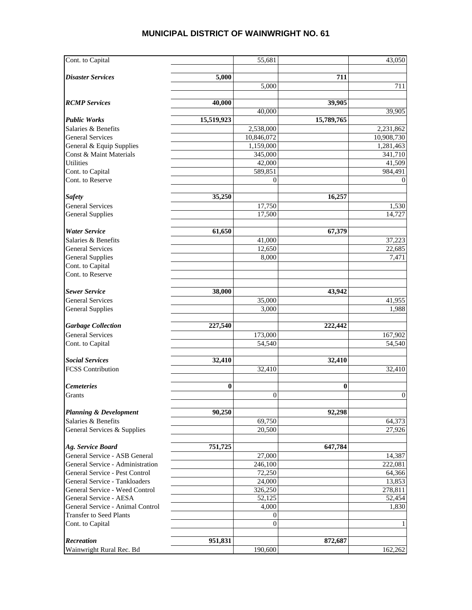| Cont. to Capital                                |            | 55,681            |            | 43,050            |
|-------------------------------------------------|------------|-------------------|------------|-------------------|
| <b>Disaster Services</b>                        | 5,000      |                   | 711        |                   |
|                                                 |            | 5,000             |            | 711               |
|                                                 |            |                   |            |                   |
| <b>RCMP</b> Services                            | 40,000     |                   | 39,905     |                   |
|                                                 |            | 40,000            |            | 39,905            |
| <b>Public Works</b>                             | 15,519,923 |                   | 15,789,765 |                   |
| Salaries & Benefits                             |            | 2,538,000         |            | 2,231,862         |
| <b>General Services</b>                         |            | 10,846,072        |            | 10,908,730        |
| General & Equip Supplies                        |            | 1,159,000         |            | 1,281,463         |
| Const & Maint Materials<br><b>Utilities</b>     |            | 345,000<br>42,000 |            | 341,710<br>41,509 |
| Cont. to Capital                                |            | 589,851           |            | 984,491           |
| Cont. to Reserve                                |            | $\Omega$          |            | $\overline{0}$    |
|                                                 |            |                   |            |                   |
| <b>Safety</b>                                   | 35,250     |                   | 16,257     |                   |
| <b>General Services</b>                         |            | 17,750            |            | 1,530             |
| <b>General Supplies</b>                         |            | 17,500            |            | 14,727            |
|                                                 |            |                   |            |                   |
| <b>Water Service</b>                            | 61,650     |                   | 67,379     |                   |
| Salaries & Benefits                             |            | 41,000            |            | 37,223            |
| <b>General Services</b>                         |            | 12,650            |            | 22,685            |
| <b>General Supplies</b>                         |            | 8,000             |            | 7,471             |
| Cont. to Capital                                |            |                   |            |                   |
| Cont. to Reserve                                |            |                   |            |                   |
|                                                 |            |                   |            |                   |
| <b>Sewer Service</b><br><b>General Services</b> | 38,000     |                   | 43,942     |                   |
| <b>General Supplies</b>                         |            | 35,000<br>3,000   |            | 41,955<br>1,988   |
|                                                 |            |                   |            |                   |
| <b>Garbage Collection</b>                       | 227,540    |                   | 222,442    |                   |
| <b>General Services</b>                         |            | 173,000           |            | 167,902           |
| Cont. to Capital                                |            | 54,540            |            | 54,540            |
|                                                 |            |                   |            |                   |
| <b>Social Services</b>                          | 32,410     |                   | 32,410     |                   |
| <b>FCSS Contribution</b>                        |            | 32,410            |            | 32,410            |
|                                                 |            |                   |            |                   |
| <b>Cemeteries</b>                               | $\bf{0}$   |                   | $\bf{0}$   |                   |
| Grants                                          |            | $\boldsymbol{0}$  |            | $\boldsymbol{0}$  |
|                                                 |            |                   |            |                   |
| <b>Planning &amp; Development</b>               | 90,250     |                   | 92,298     |                   |
| Salaries & Benefits                             |            | 69,750            |            | 64,373            |
| General Services & Supplies                     |            | 20,500            |            | 27,926            |
| Ag. Service Board                               | 751,725    |                   |            |                   |
| General Service - ASB General                   |            | 27,000            | 647,784    |                   |
| General Service - Administration                |            | 246,100           |            | 14,387<br>222,081 |
| General Service - Pest Control                  |            | 72,250            |            | 64,366            |
| General Service - Tankloaders                   |            | 24,000            |            | 13,853            |
| General Service - Weed Control                  |            | 326,250           |            | 278,811           |
| General Service - AESA                          |            | 52,125            |            | 52,454            |
| General Service - Animal Control                |            | 4,000             |            | 1,830             |
| <b>Transfer to Seed Plants</b>                  |            | $\mathbf{0}$      |            |                   |
| Cont. to Capital                                |            | $\Omega$          |            | 1                 |
|                                                 |            |                   |            |                   |
| Recreation                                      | 951,831    |                   | 872,687    |                   |
| Wainwright Rural Rec. Bd                        |            | 190,600           |            | 162,262           |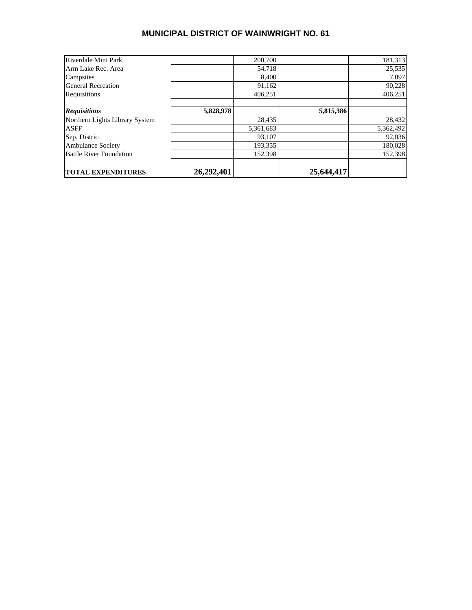| Riverdale Mini Park            |            | 200,700   |            | 181,313   |
|--------------------------------|------------|-----------|------------|-----------|
| Arm Lake Rec. Area             |            | 54.718    |            | 25,535    |
| Campsites                      |            | 8.400     |            | 7,097     |
| <b>General Recreation</b>      |            | 91,162    |            | 90,228    |
| Requisitions                   |            | 406.251   |            | 406,251   |
| <b>Requisitions</b>            | 5,828,978  |           | 5,815,386  |           |
| Northern Lights Library System |            | 28,435    |            | 28,432    |
| <b>ASFF</b>                    |            | 5,361,683 |            | 5,362,492 |
| Sep. District                  |            | 93,107    |            | 92,036    |
| <b>Ambulance Society</b>       |            | 193,355   |            | 180,028   |
| <b>Battle River Foundation</b> |            | 152.398   |            | 152.398   |
| <b>TOTAL EXPENDITURES</b>      | 26,292,401 |           | 25,644,417 |           |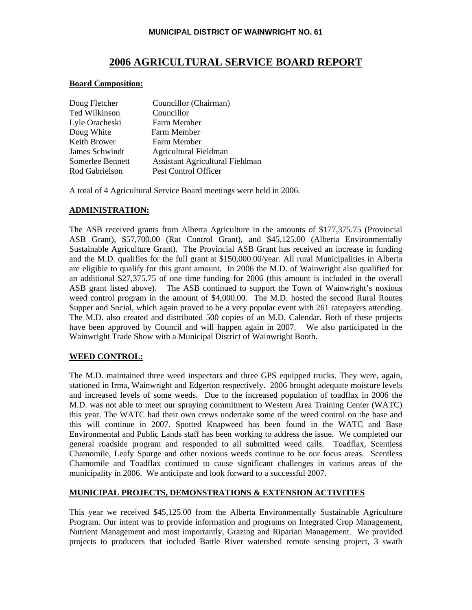#### **2006 AGRICULTURAL SERVICE BOARD REPORT**

#### **Board Composition:**

| Doug Fletcher    | Councillor (Chairman)                  |
|------------------|----------------------------------------|
| Ted Wilkinson    | Councillor                             |
| Lyle Oracheski   | Farm Member                            |
| Doug White       | Farm Member                            |
| Keith Brower     | Farm Member                            |
| James Schwindt   | Agricultural Fieldman                  |
| Somerlee Bennett | <b>Assistant Agricultural Fieldman</b> |
| Rod Gabrielson   | Pest Control Officer                   |

A total of 4 Agricultural Service Board meetings were held in 2006.

#### **ADMINISTRATION:**

The ASB received grants from Alberta Agriculture in the amounts of \$177,375.75 (Provincial ASB Grant), \$57,700.00 (Rat Control Grant), and \$45,125.00 (Alberta Environmentally Sustainable Agriculture Grant). The Provincial ASB Grant has received an increase in funding and the M.D. qualifies for the full grant at \$150,000.00/year. All rural Municipalities in Alberta are eligible to qualify for this grant amount. In 2006 the M.D. of Wainwright also qualified for an additional \$27,375.75 of one time funding for 2006 (this amount is included in the overall ASB grant listed above). The ASB continued to support the Town of Wainwright's noxious weed control program in the amount of \$4,000.00. The M.D. hosted the second Rural Routes Supper and Social, which again proved to be a very popular event with 261 ratepayers attending. The M.D. also created and distributed 500 copies of an M.D. Calendar. Both of these projects have been approved by Council and will happen again in 2007. We also participated in the Wainwright Trade Show with a Municipal District of Wainwright Booth.

#### **WEED CONTROL:**

The M.D. maintained three weed inspectors and three GPS equipped trucks. They were, again, stationed in Irma, Wainwright and Edgerton respectively. 2006 brought adequate moisture levels and increased levels of some weeds. Due to the increased population of toadflax in 2006 the M.D. was not able to meet our spraying commitment to Western Area Training Center (WATC) this year. The WATC had their own crews undertake some of the weed control on the base and this will continue in 2007. Spotted Knapweed has been found in the WATC and Base Environmental and Public Lands staff has been working to address the issue. We completed our general roadside program and responded to all submitted weed calls. Toadflax, Scentless Chamomile, Leafy Spurge and other noxious weeds continue to be our focus areas. Scentless Chamomile and Toadflax continued to cause significant challenges in various areas of the municipality in 2006. We anticipate and look forward to a successful 2007.

#### **MUNICIPAL PROJECTS, DEMONSTRATIONS & EXTENSION ACTIVITIES**

This year we received \$45,125.00 from the Alberta Environmentally Sustainable Agriculture Program. Our intent was to provide information and programs on Integrated Crop Management, Nutrient Management and most importantly, Grazing and Riparian Management. We provided projects to producers that included Battle River watershed remote sensing project, 3 swath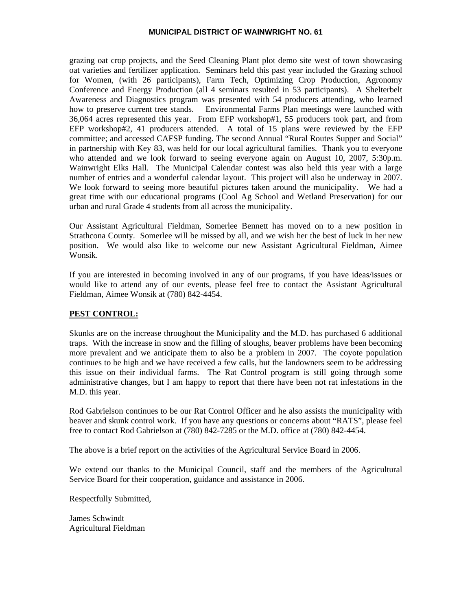grazing oat crop projects, and the Seed Cleaning Plant plot demo site west of town showcasing oat varieties and fertilizer application. Seminars held this past year included the Grazing school for Women, (with 26 participants), Farm Tech, Optimizing Crop Production, Agronomy Conference and Energy Production (all 4 seminars resulted in 53 participants). A Shelterbelt Awareness and Diagnostics program was presented with 54 producers attending, who learned how to preserve current tree stands. Environmental Farms Plan meetings were launched with 36,064 acres represented this year. From EFP workshop#1, 55 producers took part, and from EFP workshop#2, 41 producers attended. A total of 15 plans were reviewed by the EFP committee; and accessed CAFSP funding. The second Annual "Rural Routes Supper and Social" in partnership with Key 83, was held for our local agricultural families. Thank you to everyone who attended and we look forward to seeing everyone again on August 10, 2007, 5:30p.m. Wainwright Elks Hall. The Municipal Calendar contest was also held this year with a large number of entries and a wonderful calendar layout. This project will also be underway in 2007. We look forward to seeing more beautiful pictures taken around the municipality. We had a great time with our educational programs (Cool Ag School and Wetland Preservation) for our urban and rural Grade 4 students from all across the municipality.

Our Assistant Agricultural Fieldman, Somerlee Bennett has moved on to a new position in Strathcona County. Somerlee will be missed by all, and we wish her the best of luck in her new position. We would also like to welcome our new Assistant Agricultural Fieldman, Aimee Wonsik.

If you are interested in becoming involved in any of our programs, if you have ideas/issues or would like to attend any of our events, please feel free to contact the Assistant Agricultural Fieldman, Aimee Wonsik at (780) 842-4454.

#### **PEST CONTROL:**

Skunks are on the increase throughout the Municipality and the M.D. has purchased 6 additional traps. With the increase in snow and the filling of sloughs, beaver problems have been becoming more prevalent and we anticipate them to also be a problem in 2007. The coyote population continues to be high and we have received a few calls, but the landowners seem to be addressing this issue on their individual farms. The Rat Control program is still going through some administrative changes, but I am happy to report that there have been not rat infestations in the M.D. this year.

Rod Gabrielson continues to be our Rat Control Officer and he also assists the municipality with beaver and skunk control work. If you have any questions or concerns about "RATS", please feel free to contact Rod Gabrielson at (780) 842-7285 or the M.D. office at (780) 842-4454.

The above is a brief report on the activities of the Agricultural Service Board in 2006.

We extend our thanks to the Municipal Council, staff and the members of the Agricultural Service Board for their cooperation, guidance and assistance in 2006.

Respectfully Submitted,

James Schwindt Agricultural Fieldman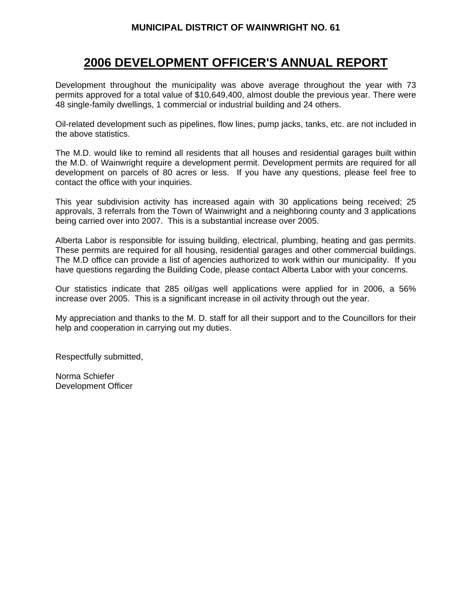### **2006 DEVELOPMENT OFFICER'S ANNUAL REPORT**

Development throughout the municipality was above average throughout the year with 73 permits approved for a total value of \$10,649,400, almost double the previous year. There were 48 single-family dwellings, 1 commercial or industrial building and 24 others.

Oil-related development such as pipelines, flow lines, pump jacks, tanks, etc. are not included in the above statistics.

The M.D. would like to remind all residents that all houses and residential garages built within the M.D. of Wainwright require a development permit. Development permits are required for all development on parcels of 80 acres or less. If you have any questions, please feel free to contact the office with your inquiries.

This year subdivision activity has increased again with 30 applications being received; 25 approvals, 3 referrals from the Town of Wainwright and a neighboring county and 3 applications being carried over into 2007. This is a substantial increase over 2005.

Alberta Labor is responsible for issuing building, electrical, plumbing, heating and gas permits. These permits are required for all housing, residential garages and other commercial buildings. The M.D office can provide a list of agencies authorized to work within our municipality. If you have questions regarding the Building Code, please contact Alberta Labor with your concerns.

Our statistics indicate that 285 oil/gas well applications were applied for in 2006, a 56% increase over 2005. This is a significant increase in oil activity through out the year.

My appreciation and thanks to the M. D. staff for all their support and to the Councillors for their help and cooperation in carrying out my duties.

Respectfully submitted,

Norma Schiefer Development Officer